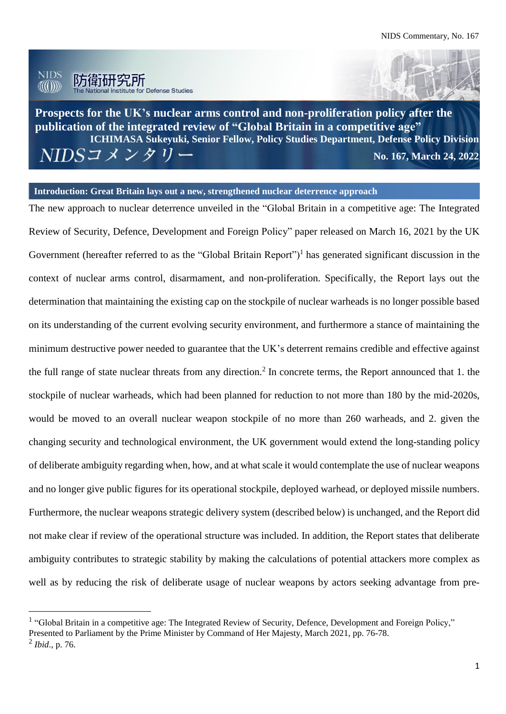

j.

**Prospects for the UK's nuclear arms control and non-proliferation policy after the publication of the integrated review of "Global Britain in a competitive age" ICHIMASA Sukeyuki, Senior Fellow, Policy Studies Department, Defense Policy Division** NIDSコメンタリー **No. 167, March 24, 2022**

#### **Introduction: Great Britain lays out a new, strengthened nuclear deterrence approach**

The new approach to nuclear deterrence unveiled in the "Global Britain in a competitive age: The Integrated Review of Security, Defence, Development and Foreign Policy" paper released on March 16, 2021 by the UK Government (hereafter referred to as the "Global Britain Report")<sup>1</sup> has generated significant discussion in the context of nuclear arms control, disarmament, and non-proliferation. Specifically, the Report lays out the determination that maintaining the existing cap on the stockpile of nuclear warheads is no longer possible based on its understanding of the current evolving security environment, and furthermore a stance of maintaining the minimum destructive power needed to guarantee that the UK's deterrent remains credible and effective against the full range of state nuclear threats from any direction.<sup>2</sup> In concrete terms, the Report announced that 1. the stockpile of nuclear warheads, which had been planned for reduction to not more than 180 by the mid-2020s, would be moved to an overall nuclear weapon stockpile of no more than 260 warheads, and 2. given the changing security and technological environment, the UK government would extend the long-standing policy of deliberate ambiguity regarding when, how, and at what scale it would contemplate the use of nuclear weapons and no longer give public figures for its operational stockpile, deployed warhead, or deployed missile numbers. Furthermore, the nuclear weapons strategic delivery system (described below) is unchanged, and the Report did not make clear if review of the operational structure was included. In addition, the Report states that deliberate ambiguity contributes to strategic stability by making the calculations of potential attackers more complex as well as by reducing the risk of deliberate usage of nuclear weapons by actors seeking advantage from pre-

<sup>&</sup>lt;sup>1</sup> "Global Britain in a competitive age: The Integrated Review of Security, Defence, Development and Foreign Policy," Presented to Parliament by the Prime Minister by Command of Her Majesty, March 2021, pp. 76-78. 2 *Ibid*., p. 76.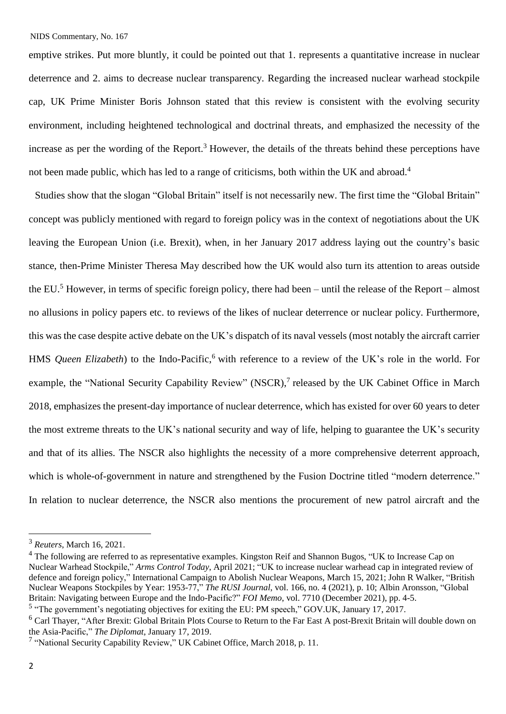emptive strikes. Put more bluntly, it could be pointed out that 1. represents a quantitative increase in nuclear deterrence and 2. aims to decrease nuclear transparency. Regarding the increased nuclear warhead stockpile cap, UK Prime Minister Boris Johnson stated that this review is consistent with the evolving security environment, including heightened technological and doctrinal threats, and emphasized the necessity of the increase as per the wording of the Report.<sup>3</sup> However, the details of the threats behind these perceptions have not been made public, which has led to a range of criticisms, both within the UK and abroad.<sup>4</sup>

Studies show that the slogan "Global Britain" itself is not necessarily new. The first time the "Global Britain" concept was publicly mentioned with regard to foreign policy was in the context of negotiations about the UK leaving the European Union (i.e. Brexit), when, in her January 2017 address laying out the country's basic stance, then-Prime Minister Theresa May described how the UK would also turn its attention to areas outside the EU.<sup>5</sup> However, in terms of specific foreign policy, there had been – until the release of the Report – almost no allusions in policy papers etc. to reviews of the likes of nuclear deterrence or nuclear policy. Furthermore, this was the case despite active debate on the UK's dispatch of its naval vessels (most notably the aircraft carrier HMS *Queen Elizabeth*) to the Indo-Pacific,<sup>6</sup> with reference to a review of the UK's role in the world. For example, the "National Security Capability Review" (NSCR),<sup>7</sup> released by the UK Cabinet Office in March 2018, emphasizes the present-day importance of nuclear deterrence, which has existed for over 60 years to deter the most extreme threats to the UK's national security and way of life, helping to guarantee the UK's security and that of its allies. The NSCR also highlights the necessity of a more comprehensive deterrent approach, which is whole-of-government in nature and strengthened by the Fusion Doctrine titled "modern deterrence." In relation to nuclear deterrence, the NSCR also mentions the procurement of new patrol aircraft and the

<sup>3</sup> *Reuters*, March 16, 2021.

 $4$  The following are referred to as representative examples. Kingston Reif and Shannon Bugos, "UK to Increase Cap on Nuclear Warhead Stockpile," *Arms Control Today*, April 2021; "UK to increase nuclear warhead cap in integrated review of defence and foreign policy," International Campaign to Abolish Nuclear Weapons, March 15, 2021; John R Walker, "British Nuclear Weapons Stockpiles by Year: 1953-77," *The RUSI Journal*, vol. 166, no. 4 (2021), p. 10; Albin Aronsson, "Global Britain: Navigating between Europe and the Indo-Pacific?" *FOI Memo*, vol. 7710 (December 2021), pp. 4-5.

<sup>&</sup>lt;sup>5</sup> "The government's negotiating objectives for exiting the EU: PM speech," GOV.UK, January 17, 2017.

<sup>&</sup>lt;sup>6</sup> Carl Thayer, "After Brexit: Global Britain Plots Course to Return to the Far East A post-Brexit Britain will double down on the Asia-Pacific," *The Diplomat*, January 17, 2019.

<sup>&</sup>lt;sup>7</sup> "National Security Capability Review," UK Cabinet Office, March 2018, p. 11.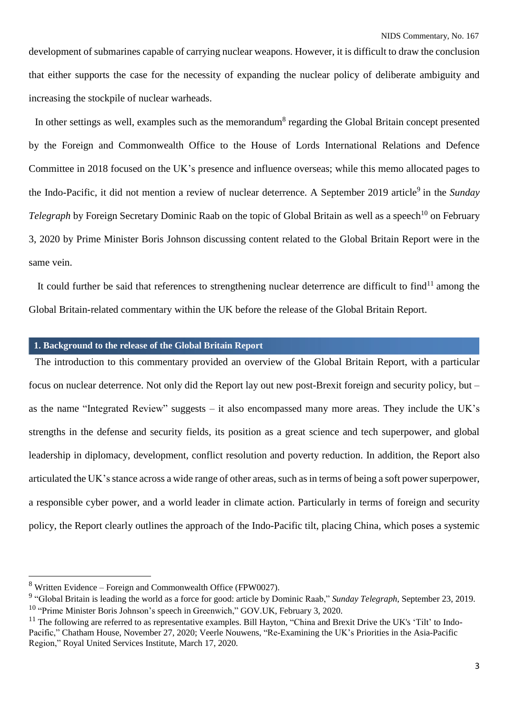development of submarines capable of carrying nuclear weapons. However, it is difficult to draw the conclusion that either supports the case for the necessity of expanding the nuclear policy of deliberate ambiguity and increasing the stockpile of nuclear warheads.

In other settings as well, examples such as the memorandum<sup>8</sup> regarding the Global Britain concept presented by the Foreign and Commonwealth Office to the House of Lords International Relations and Defence Committee in 2018 focused on the UK's presence and influence overseas; while this memo allocated pages to the Indo-Pacific, it did not mention a review of nuclear deterrence. A September 2019 article<sup>9</sup> in the *Sunday Telegraph* by Foreign Secretary Dominic Raab on the topic of Global Britain as well as a speech<sup>10</sup> on February 3, 2020 by Prime Minister Boris Johnson discussing content related to the Global Britain Report were in the same vein.

It could further be said that references to strengthening nuclear deterrence are difficult to find<sup>11</sup> among the Global Britain-related commentary within the UK before the release of the Global Britain Report.

## **1. Background to the release of the Global Britain Report**

The introduction to this commentary provided an overview of the Global Britain Report, with a particular focus on nuclear deterrence. Not only did the Report lay out new post-Brexit foreign and security policy, but – as the name "Integrated Review" suggests – it also encompassed many more areas. They include the UK's strengths in the defense and security fields, its position as a great science and tech superpower, and global leadership in diplomacy, development, conflict resolution and poverty reduction. In addition, the Report also articulated the UK's stance across a wide range of other areas, such as in terms of being a soft power superpower, a responsible cyber power, and a world leader in climate action. Particularly in terms of foreign and security policy, the Report clearly outlines the approach of the Indo-Pacific tilt, placing China, which poses a systemic

<sup>8</sup> Written Evidence – Foreign and Commonwealth Office (FPW0027).

<sup>9</sup> "Global Britain is leading the world as a force for good: article by Dominic Raab," *Sunday Telegraph*, September 23, 2019. <sup>10</sup> "Prime Minister Boris Johnson's speech in Greenwich," GOV.UK, February 3, 2020.

 $11$  The following are referred to as representative examples. Bill Hayton, "China and Brexit Drive the UK's 'Tilt' to Indo-Pacific," Chatham House, November 27, 2020; Veerle Nouwens, "Re-Examining the UK's Priorities in the Asia-Pacific Region," Royal United Services Institute, March 17, 2020.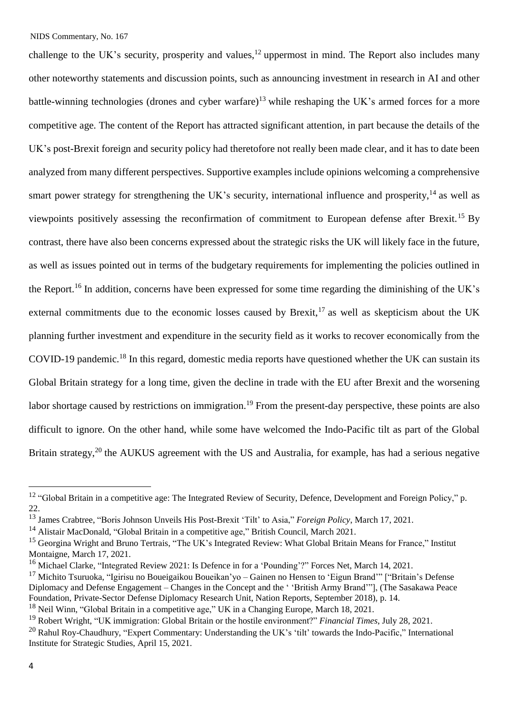challenge to the UK's security, prosperity and values,<sup>12</sup> uppermost in mind. The Report also includes many other noteworthy statements and discussion points, such as announcing investment in research in AI and other battle-winning technologies (drones and cyber warfare)<sup>13</sup> while reshaping the UK's armed forces for a more competitive age. The content of the Report has attracted significant attention, in part because the details of the UK's post-Brexit foreign and security policy had theretofore not really been made clear, and it has to date been analyzed from many different perspectives. Supportive examples include opinions welcoming a comprehensive smart power strategy for strengthening the UK's security, international influence and prosperity,<sup>14</sup> as well as viewpoints positively assessing the reconfirmation of commitment to European defense after Brexit.<sup>15</sup> By contrast, there have also been concerns expressed about the strategic risks the UK will likely face in the future, as well as issues pointed out in terms of the budgetary requirements for implementing the policies outlined in the Report.<sup>16</sup> In addition, concerns have been expressed for some time regarding the diminishing of the UK's external commitments due to the economic losses caused by Brexit,<sup>17</sup> as well as skepticism about the UK planning further investment and expenditure in the security field as it works to recover economically from the COVID-19 pandemic.<sup>18</sup> In this regard, domestic media reports have questioned whether the UK can sustain its Global Britain strategy for a long time, given the decline in trade with the EU after Brexit and the worsening labor shortage caused by restrictions on immigration.<sup>19</sup> From the present-day perspective, these points are also difficult to ignore. On the other hand, while some have welcomed the Indo-Pacific tilt as part of the Global Britain strategy,<sup>20</sup> the AUKUS agreement with the US and Australia, for example, has had a serious negative

i.

<sup>&</sup>lt;sup>12</sup> "Global Britain in a competitive age: The Integrated Review of Security, Defence, Development and Foreign Policy," p. 22.

<sup>13</sup> James Crabtree, "Boris Johnson Unveils His Post-Brexit 'Tilt' to Asia," *Foreign Policy*, March 17, 2021.

<sup>&</sup>lt;sup>14</sup> Alistair MacDonald, "Global Britain in a competitive age," British Council, March 2021.

<sup>&</sup>lt;sup>15</sup> Georgina Wright and Bruno Tertrais, "The UK's Integrated Review: What Global Britain Means for France," Institut Montaigne, March 17, 2021.

<sup>&</sup>lt;sup>16</sup> Michael Clarke, "Integrated Review 2021: Is Defence in for a 'Pounding'?" Forces Net, March 14, 2021.

<sup>&</sup>lt;sup>17</sup> Michito Tsuruoka, "Igirisu no Boueigaikou Boueikan'yo – Gainen no Hensen to 'Eigun Brand'" ["Britain's Defense Diplomacy and Defense Engagement – Changes in the Concept and the ' 'British Army Brand'"], (The Sasakawa Peace Foundation, Private-Sector Defense Diplomacy Research Unit, Nation Reports, September 2018), p. 14.

<sup>&</sup>lt;sup>18</sup> Neil Winn, "Global Britain in a competitive age," UK in a Changing Europe, March 18, 2021.

<sup>19</sup> Robert Wright, "UK immigration: Global Britain or the hostile environment?" *Financial Times*, July 28, 2021.

 $^{20}$  Rahul Roy-Chaudhury, "Expert Commentary: Understanding the UK's 'tilt' towards the Indo-Pacific," International Institute for Strategic Studies, April 15, 2021.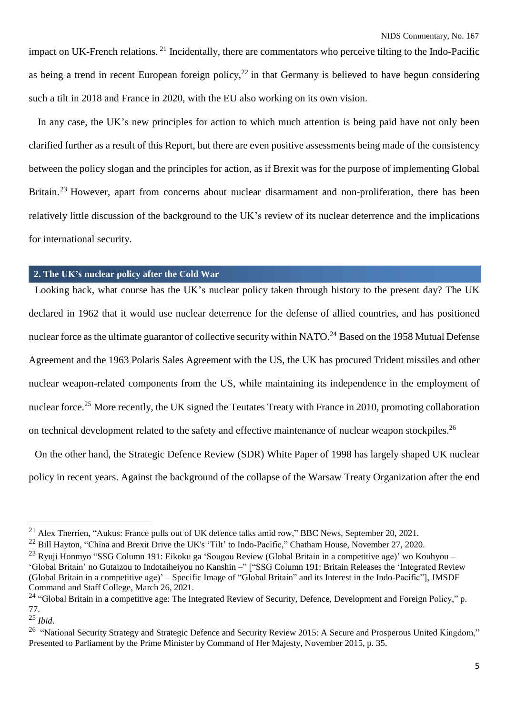impact on UK-French relations. <sup>21</sup> Incidentally, there are commentators who perceive tilting to the Indo-Pacific as being a trend in recent European foreign policy,  $^{22}$  in that Germany is believed to have begun considering such a tilt in 2018 and France in 2020, with the EU also working on its own vision.

In any case, the UK's new principles for action to which much attention is being paid have not only been clarified further as a result of this Report, but there are even positive assessments being made of the consistency between the policy slogan and the principles for action, as if Brexit was for the purpose of implementing Global Britain.<sup>23</sup> However, apart from concerns about nuclear disarmament and non-proliferation, there has been relatively little discussion of the background to the UK's review of its nuclear deterrence and the implications for international security.

### **2. The UK's nuclear policy after the Cold War**

Looking back, what course has the UK's nuclear policy taken through history to the present day? The UK declared in 1962 that it would use nuclear deterrence for the defense of allied countries, and has positioned nuclear force as the ultimate guarantor of collective security within NATO.<sup>24</sup> Based on the 1958 Mutual Defense Agreement and the 1963 Polaris Sales Agreement with the US, the UK has procured Trident missiles and other nuclear weapon-related components from the US, while maintaining its independence in the employment of nuclear force.<sup>25</sup> More recently, the UK signed the Teutates Treaty with France in 2010, promoting collaboration on technical development related to the safety and effective maintenance of nuclear weapon stockpiles.<sup>26</sup>

On the other hand, the Strategic Defence Review (SDR) White Paper of 1998 has largely shaped UK nuclear policy in recent years. Against the background of the collapse of the Warsaw Treaty Organization after the end

<sup>&</sup>lt;sup>21</sup> Alex Therrien, "Aukus: France pulls out of UK defence talks amid row," BBC News, September 20, 2021.

<sup>&</sup>lt;sup>22</sup> Bill Hayton, "China and Brexit Drive the UK's 'Tilt' to Indo-Pacific," Chatham House, November 27, 2020.

<sup>&</sup>lt;sup>23</sup> Ryuji Honmyo "SSG Column 191: Eikoku ga 'Sougou Review (Global Britain in a competitive age)' wo Kouhyou – 'Global Britain' no Gutaizou to Indotaiheiyou no Kanshin –" ["SSG Column 191: Britain Releases the 'Integrated Review (Global Britain in a competitive age)' – Specific Image of "Global Britain" and its Interest in the Indo-Pacific"], JMSDF Command and Staff College, March 26, 2021.

<sup>&</sup>lt;sup>24</sup> "Global Britain in a competitive age: The Integrated Review of Security, Defence, Development and Foreign Policy," p. 77.

<sup>25</sup> *Ibid*.

<sup>&</sup>lt;sup>26</sup> "National Security Strategy and Strategic Defence and Security Review 2015: A Secure and Prosperous United Kingdom," Presented to Parliament by the Prime Minister by Command of Her Majesty, November 2015, p. 35.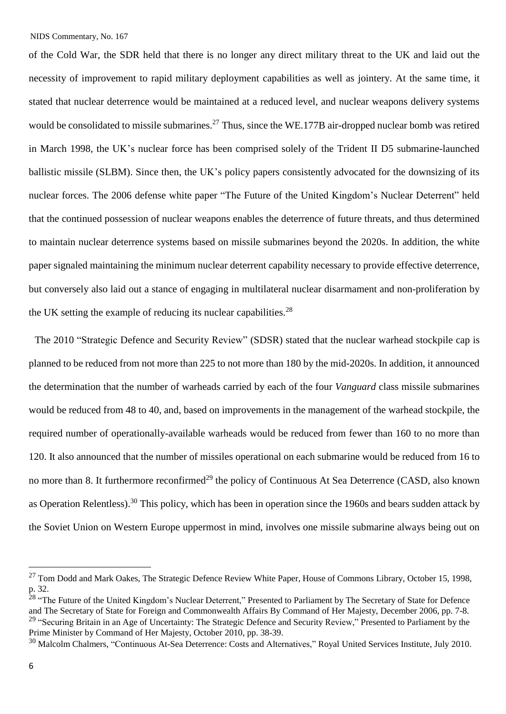of the Cold War, the SDR held that there is no longer any direct military threat to the UK and laid out the necessity of improvement to rapid military deployment capabilities as well as jointery. At the same time, it stated that nuclear deterrence would be maintained at a reduced level, and nuclear weapons delivery systems would be consolidated to missile submarines.<sup>27</sup> Thus, since the WE.177B air-dropped nuclear bomb was retired in March 1998, the UK's nuclear force has been comprised solely of the Trident II D5 submarine-launched ballistic missile (SLBM). Since then, the UK's policy papers consistently advocated for the downsizing of its nuclear forces. The 2006 defense white paper "The Future of the United Kingdom's Nuclear Deterrent" held that the continued possession of nuclear weapons enables the deterrence of future threats, and thus determined to maintain nuclear deterrence systems based on missile submarines beyond the 2020s. In addition, the white paper signaled maintaining the minimum nuclear deterrent capability necessary to provide effective deterrence, but conversely also laid out a stance of engaging in multilateral nuclear disarmament and non-proliferation by the UK setting the example of reducing its nuclear capabilities.<sup>28</sup>

The 2010 "Strategic Defence and Security Review" (SDSR) stated that the nuclear warhead stockpile cap is planned to be reduced from not more than 225 to not more than 180 by the mid-2020s. In addition, it announced the determination that the number of warheads carried by each of the four *Vanguard* class missile submarines would be reduced from 48 to 40, and, based on improvements in the management of the warhead stockpile, the required number of operationally-available warheads would be reduced from fewer than 160 to no more than 120. It also announced that the number of missiles operational on each submarine would be reduced from 16 to no more than 8. It furthermore reconfirmed<sup>29</sup> the policy of Continuous At Sea Deterrence (CASD, also known as Operation Relentless).<sup>30</sup> This policy, which has been in operation since the 1960s and bears sudden attack by the Soviet Union on Western Europe uppermost in mind, involves one missile submarine always being out on

 $27$  Tom Dodd and Mark Oakes, The Strategic Defence Review White Paper, House of Commons Library, October 15, 1998, p. 32.

<sup>&</sup>lt;sup>28</sup> "The Future of the United Kingdom's Nuclear Deterrent," Presented to Parliament by The Secretary of State for Defence and The Secretary of State for Foreign and Commonwealth Affairs By Command of Her Majesty, December 2006, pp. 7-8. <sup>29</sup> "Securing Britain in an Age of Uncertainty: The Strategic Defence and Security Review," Presented to Parliament by the Prime Minister by Command of Her Majesty, October 2010, pp. 38-39.

<sup>&</sup>lt;sup>30</sup> Malcolm Chalmers, "Continuous At-Sea Deterrence: Costs and Alternatives," Royal United Services Institute, July 2010.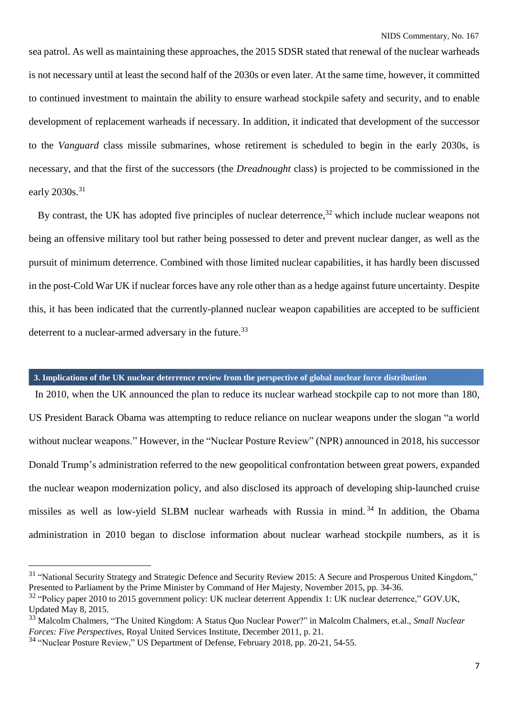sea patrol. As well as maintaining these approaches, the 2015 SDSR stated that renewal of the nuclear warheads is not necessary until at least the second half of the 2030s or even later. At the same time, however, it committed to continued investment to maintain the ability to ensure warhead stockpile safety and security, and to enable development of replacement warheads if necessary. In addition, it indicated that development of the successor to the *Vanguard* class missile submarines, whose retirement is scheduled to begin in the early 2030s, is necessary, and that the first of the successors (the *Dreadnought* class) is projected to be commissioned in the early  $2030s.<sup>31</sup>$ 

By contrast, the UK has adopted five principles of nuclear deterrence,  $32$  which include nuclear weapons not being an offensive military tool but rather being possessed to deter and prevent nuclear danger, as well as the pursuit of minimum deterrence. Combined with those limited nuclear capabilities, it has hardly been discussed in the post-Cold War UK if nuclear forces have any role other than as a hedge against future uncertainty. Despite this, it has been indicated that the currently-planned nuclear weapon capabilities are accepted to be sufficient deterrent to a nuclear-armed adversary in the future.<sup>33</sup>

## **3. Implications of the UK nuclear deterrence review from the perspective of global nuclear force distribution**

In 2010, when the UK announced the plan to reduce its nuclear warhead stockpile cap to not more than 180, US President Barack Obama was attempting to reduce reliance on nuclear weapons under the slogan "a world without nuclear weapons." However, in the "Nuclear Posture Review" (NPR) announced in 2018, his successor Donald Trump's administration referred to the new geopolitical confrontation between great powers, expanded the nuclear weapon modernization policy, and also disclosed its approach of developing ship-launched cruise missiles as well as low-yield SLBM nuclear warheads with Russia in mind. <sup>34</sup> In addition, the Obama administration in 2010 began to disclose information about nuclear warhead stockpile numbers, as it is

<sup>&</sup>lt;sup>31</sup> "National Security Strategy and Strategic Defence and Security Review 2015: A Secure and Prosperous United Kingdom," Presented to Parliament by the Prime Minister by Command of Her Majesty, November 2015, pp. 34-36.

<sup>&</sup>lt;sup>32</sup> "Policy paper 2010 to 2015 government policy: UK nuclear deterrent Appendix 1: UK nuclear deterrence," GOV.UK, Updated May 8, 2015.

<sup>33</sup> Malcolm Chalmers, "The United Kingdom: A Status Quo Nuclear Power?" in Malcolm Chalmers, et.al., *Small Nuclear Forces: Five Perspectives*, Royal United Services Institute, December 2011, p. 21.

<sup>&</sup>lt;sup>34</sup> "Nuclear Posture Review," US Department of Defense, February 2018, pp. 20-21, 54-55.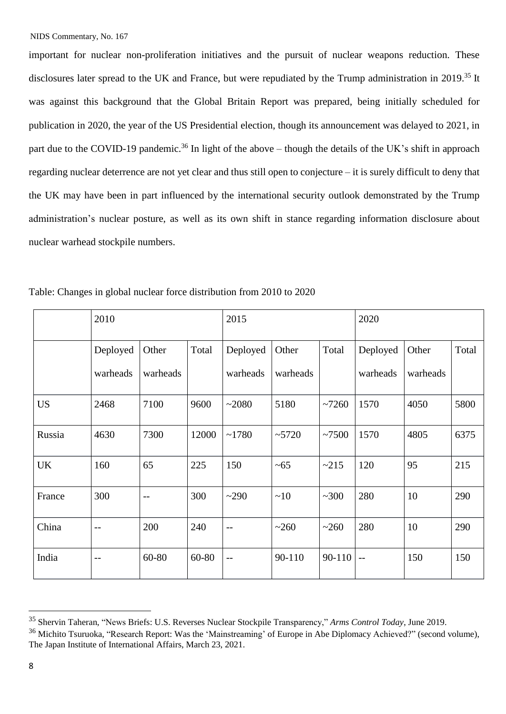important for nuclear non-proliferation initiatives and the pursuit of nuclear weapons reduction. These disclosures later spread to the UK and France, but were repudiated by the Trump administration in 2019.<sup>35</sup> It was against this background that the Global Britain Report was prepared, being initially scheduled for publication in 2020, the year of the US Presidential election, though its announcement was delayed to 2021, in part due to the COVID-19 pandemic.<sup>36</sup> In light of the above – though the details of the UK's shift in approach regarding nuclear deterrence are not yet clear and thus still open to conjecture – it is surely difficult to deny that the UK may have been in part influenced by the international security outlook demonstrated by the Trump administration's nuclear posture, as well as its own shift in stance regarding information disclosure about nuclear warhead stockpile numbers.

|           | 2010           |          |       | 2015     |          |        | 2020     |          |       |
|-----------|----------------|----------|-------|----------|----------|--------|----------|----------|-------|
|           | Deployed       | Other    | Total | Deployed | Other    | Total  | Deployed | Other    | Total |
|           | warheads       | warheads |       | warheads | warheads |        | warheads | warheads |       |
| <b>US</b> | 2468           | 7100     | 9600  | ~2080    | 5180     | ~1260  | 1570     | 4050     | 5800  |
| Russia    | 4630           | 7300     | 12000 | ~1780    | ~15720   | ~100   | 1570     | 4805     | 6375  |
| <b>UK</b> | 160            | 65       | 225   | 150      | $~1$ –65 | ~215   | 120      | 95       | 215   |
| France    | 300            | --       | 300   | ~290     | ~10      | ~100   | 280      | 10       | 290   |
| China     | $\overline{a}$ | 200      | 240   | $-$      | ~260     | ~260   | 280      | 10       | 290   |
| India     | $-$            | 60-80    | 60-80 | $-$      | 90-110   | 90-110 | $ -$     | 150      | 150   |

Table: Changes in global nuclear force distribution from 2010 to 2020

<sup>35</sup> Shervin Taheran, "News Briefs: U.S. Reverses Nuclear Stockpile Transparency," *Arms Control Today*, June 2019.

<sup>&</sup>lt;sup>36</sup> Michito Tsuruoka, "Research Report: Was the 'Mainstreaming' of Europe in Abe Diplomacy Achieved?" (second volume), The Japan Institute of International Affairs, March 23, 2021.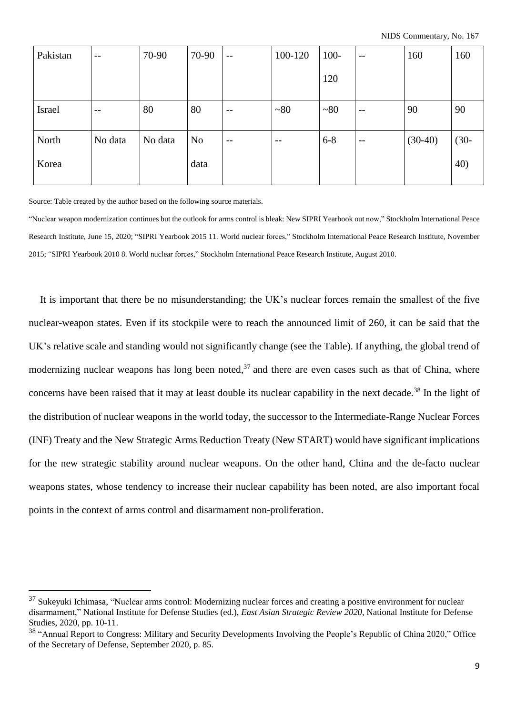| Pakistan | $- -$                    | 70-90   | 70-90          | $-$                      | 100-120           | $100 -$    | $--$ | 160       | 160     |
|----------|--------------------------|---------|----------------|--------------------------|-------------------|------------|------|-----------|---------|
|          |                          |         |                |                          |                   | 120        |      |           |         |
| Israel   | $\overline{\phantom{m}}$ | 80      | 80             | $\overline{\phantom{m}}$ | ~180              | $~1$ $~80$ | $-$  | 90        | 90      |
| North    | No data                  | No data | N <sub>o</sub> | $--$                     | $\qquad \qquad -$ | $6 - 8$    | $-$  | $(30-40)$ | $(30 -$ |
| Korea    |                          |         | data           |                          |                   |            |      |           | 40)     |

Source: Table created by the author based on the following source materials.

j.

"Nuclear weapon modernization continues but the outlook for arms control is bleak: New SIPRI Yearbook out now," Stockholm International Peace Research Institute, June 15, 2020; "SIPRI Yearbook 2015 11. World nuclear forces," Stockholm International Peace Research Institute, November 2015; "SIPRI Yearbook 2010 8. World nuclear forces," Stockholm International Peace Research Institute, August 2010.

 It is important that there be no misunderstanding; the UK's nuclear forces remain the smallest of the five nuclear-weapon states. Even if its stockpile were to reach the announced limit of 260, it can be said that the UK's relative scale and standing would not significantly change (see the Table). If anything, the global trend of modernizing nuclear weapons has long been noted,  $37$  and there are even cases such as that of China, where concerns have been raised that it may at least double its nuclear capability in the next decade.<sup>38</sup> In the light of the distribution of nuclear weapons in the world today, the successor to the Intermediate-Range Nuclear Forces (INF) Treaty and the New Strategic Arms Reduction Treaty (New START) would have significant implications for the new strategic stability around nuclear weapons. On the other hand, China and the de-facto nuclear weapons states, whose tendency to increase their nuclear capability has been noted, are also important focal points in the context of arms control and disarmament non-proliferation.

 $37$  Sukeyuki Ichimasa, "Nuclear arms control: Modernizing nuclear forces and creating a positive environment for nuclear disarmament," National Institute for Defense Studies (ed.), *East Asian Strategic Review 2020*, National Institute for Defense Studies, 2020, pp. 10-11.

<sup>&</sup>lt;sup>38</sup> "Annual Report to Congress: Military and Security Developments Involving the People's Republic of China 2020," Office of the Secretary of Defense, September 2020, p. 85.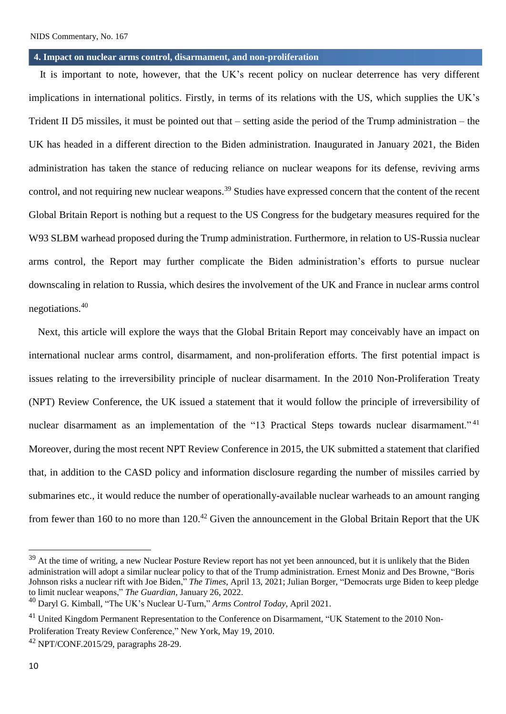#### **4. Impact on nuclear arms control, disarmament, and non-proliferation**

It is important to note, however, that the UK's recent policy on nuclear deterrence has very different implications in international politics. Firstly, in terms of its relations with the US, which supplies the UK's Trident II D5 missiles, it must be pointed out that – setting aside the period of the Trump administration – the UK has headed in a different direction to the Biden administration. Inaugurated in January 2021, the Biden administration has taken the stance of reducing reliance on nuclear weapons for its defense, reviving arms control, and not requiring new nuclear weapons.<sup>39</sup> Studies have expressed concern that the content of the recent Global Britain Report is nothing but a request to the US Congress for the budgetary measures required for the W93 SLBM warhead proposed during the Trump administration. Furthermore, in relation to US-Russia nuclear arms control, the Report may further complicate the Biden administration's efforts to pursue nuclear downscaling in relation to Russia, which desires the involvement of the UK and France in nuclear arms control negotiations.<sup>40</sup>

Next, this article will explore the ways that the Global Britain Report may conceivably have an impact on international nuclear arms control, disarmament, and non-proliferation efforts. The first potential impact is issues relating to the irreversibility principle of nuclear disarmament. In the 2010 Non-Proliferation Treaty (NPT) Review Conference, the UK issued a statement that it would follow the principle of irreversibility of nuclear disarmament as an implementation of the "13 Practical Steps towards nuclear disarmament."<sup>41</sup> Moreover, during the most recent NPT Review Conference in 2015, the UK submitted a statement that clarified that, in addition to the CASD policy and information disclosure regarding the number of missiles carried by submarines etc., it would reduce the number of operationally-available nuclear warheads to an amount ranging from fewer than 160 to no more than  $120^{42}$  Given the announcement in the Global Britain Report that the UK

i.

<sup>&</sup>lt;sup>39</sup> At the time of writing, a new Nuclear Posture Review report has not yet been announced, but it is unlikely that the Biden administration will adopt a similar nuclear policy to that of the Trump administration. Ernest Moniz and Des Browne, "Boris Johnson risks a nuclear rift with Joe Biden," *The Times*, April 13, 2021; Julian Borger, "Democrats urge Biden to keep pledge to limit nuclear weapons," *The Guardian*, January 26, 2022.

<sup>40</sup> Daryl G. Kimball, "The UK's Nuclear U-Turn," *Arms Control Today*, April 2021.

<sup>&</sup>lt;sup>41</sup> United Kingdom Permanent Representation to the Conference on Disarmament, "UK Statement to the 2010 Non-Proliferation Treaty Review Conference," New York, May 19, 2010.

 $42$  NPT/CONF.2015/29, paragraphs 28-29.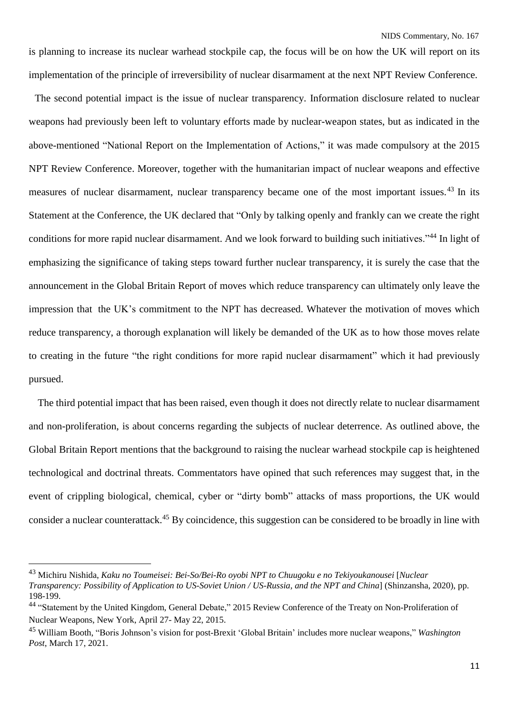is planning to increase its nuclear warhead stockpile cap, the focus will be on how the UK will report on its implementation of the principle of irreversibility of nuclear disarmament at the next NPT Review Conference.

The second potential impact is the issue of nuclear transparency. Information disclosure related to nuclear weapons had previously been left to voluntary efforts made by nuclear-weapon states, but as indicated in the above-mentioned "National Report on the Implementation of Actions," it was made compulsory at the 2015 NPT Review Conference. Moreover, together with the humanitarian impact of nuclear weapons and effective measures of nuclear disarmament, nuclear transparency became one of the most important issues.<sup>43</sup> In its Statement at the Conference, the UK declared that "Only by talking openly and frankly can we create the right conditions for more rapid nuclear disarmament. And we look forward to building such initiatives."<sup>44</sup> In light of emphasizing the significance of taking steps toward further nuclear transparency, it is surely the case that the announcement in the Global Britain Report of moves which reduce transparency can ultimately only leave the impression that the UK's commitment to the NPT has decreased. Whatever the motivation of moves which reduce transparency, a thorough explanation will likely be demanded of the UK as to how those moves relate to creating in the future "the right conditions for more rapid nuclear disarmament" which it had previously pursued.

The third potential impact that has been raised, even though it does not directly relate to nuclear disarmament and non-proliferation, is about concerns regarding the subjects of nuclear deterrence. As outlined above, the Global Britain Report mentions that the background to raising the nuclear warhead stockpile cap is heightened technological and doctrinal threats. Commentators have opined that such references may suggest that, in the event of crippling biological, chemical, cyber or "dirty bomb" attacks of mass proportions, the UK would consider a nuclear counterattack.<sup>45</sup> By coincidence, this suggestion can be considered to be broadly in line with

<sup>43</sup> Michiru Nishida, *Kaku no Toumeisei: Bei-So/Bei-Ro oyobi NPT to Chuugoku e no Tekiyoukanousei* [*Nuclear*

*Transparency: Possibility of Application to US-Soviet Union / US-Russia, and the NPT and China*] (Shinzansha, 2020), pp. 198-199.

<sup>&</sup>lt;sup>44</sup> "Statement by the United Kingdom, General Debate," 2015 Review Conference of the Treaty on Non-Proliferation of Nuclear Weapons, New York, April 27- May 22, 2015.

<sup>45</sup> William Booth, "Boris Johnson's vision for post-Brexit 'Global Britain' includes more nuclear weapons," *Washington Post*, March 17, 2021.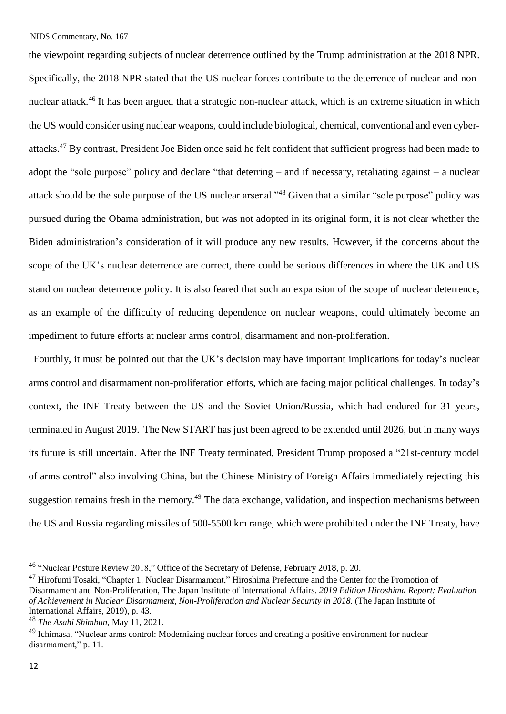the viewpoint regarding subjects of nuclear deterrence outlined by the Trump administration at the 2018 NPR. Specifically, the 2018 NPR stated that the US nuclear forces contribute to the deterrence of nuclear and nonnuclear attack.<sup>46</sup> It has been argued that a strategic non-nuclear attack, which is an extreme situation in which the US would consider using nuclear weapons, could include biological, chemical, conventional and even cyberattacks.<sup>47</sup> By contrast, President Joe Biden once said he felt confident that sufficient progress had been made to adopt the "sole purpose" policy and declare "that deterring – and if necessary, retaliating against – a nuclear attack should be the sole purpose of the US nuclear arsenal."<sup>48</sup> Given that a similar "sole purpose" policy was pursued during the Obama administration, but was not adopted in its original form, it is not clear whether the Biden administration's consideration of it will produce any new results. However, if the concerns about the scope of the UK's nuclear deterrence are correct, there could be serious differences in where the UK and US stand on nuclear deterrence policy. It is also feared that such an expansion of the scope of nuclear deterrence, as an example of the difficulty of reducing dependence on nuclear weapons, could ultimately become an impediment to future efforts at nuclear arms control, disarmament and non-proliferation.

Fourthly, it must be pointed out that the UK's decision may have important implications for today's nuclear arms control and disarmament non-proliferation efforts, which are facing major political challenges. In today's context, the INF Treaty between the US and the Soviet Union/Russia, which had endured for 31 years, terminated in August 2019. The New START has just been agreed to be extended until 2026, but in many ways its future is still uncertain. After the INF Treaty terminated, President Trump proposed a "21st-century model of arms control" also involving China, but the Chinese Ministry of Foreign Affairs immediately rejecting this suggestion remains fresh in the memory.<sup>49</sup> The data exchange, validation, and inspection mechanisms between the US and Russia regarding missiles of 500-5500 km range, which were prohibited under the INF Treaty, have

<sup>&</sup>lt;sup>46</sup> "Nuclear Posture Review 2018," Office of the Secretary of Defense, February 2018, p. 20.

<sup>&</sup>lt;sup>47</sup> Hirofumi Tosaki, "Chapter 1. Nuclear Disarmament," Hiroshima Prefecture and the Center for the Promotion of Disarmament and Non-Proliferation, The Japan Institute of International Affairs. *2019 Edition Hiroshima Report: Evaluation of Achievement in Nuclear Disarmament, Non-Proliferation and Nuclear Security in 2018*. (The Japan Institute of International Affairs, 2019), p. 43.

<sup>48</sup> *The Asahi Shimbun*, May 11, 2021.

<sup>&</sup>lt;sup>49</sup> Ichimasa, "Nuclear arms control: Modernizing nuclear forces and creating a positive environment for nuclear disarmament," p. 11.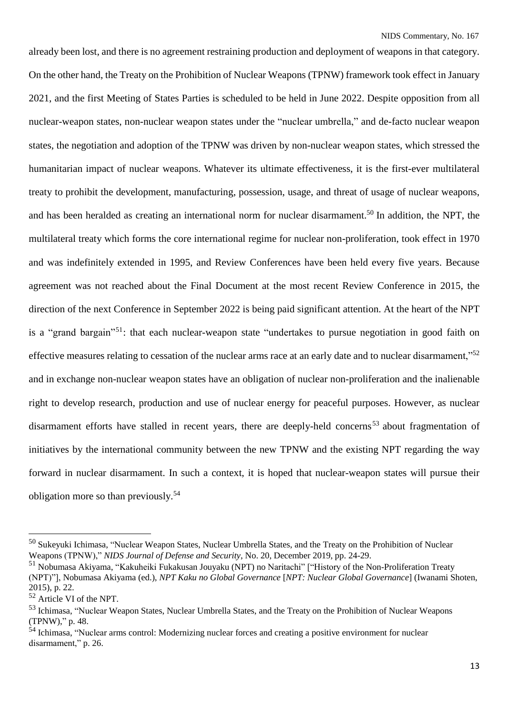already been lost, and there is no agreement restraining production and deployment of weapons in that category. On the other hand, the Treaty on the Prohibition of Nuclear Weapons (TPNW) framework took effect in January 2021, and the first Meeting of States Parties is scheduled to be held in June 2022. Despite opposition from all nuclear-weapon states, non-nuclear weapon states under the "nuclear umbrella," and de-facto nuclear weapon states, the negotiation and adoption of the TPNW was driven by non-nuclear weapon states, which stressed the humanitarian impact of nuclear weapons. Whatever its ultimate effectiveness, it is the first-ever multilateral treaty to prohibit the development, manufacturing, possession, usage, and threat of usage of nuclear weapons, and has been heralded as creating an international norm for nuclear disarmament.<sup>50</sup> In addition, the NPT, the multilateral treaty which forms the core international regime for nuclear non-proliferation, took effect in 1970 and was indefinitely extended in 1995, and Review Conferences have been held every five years. Because agreement was not reached about the Final Document at the most recent Review Conference in 2015, the direction of the next Conference in September 2022 is being paid significant attention. At the heart of the NPT is a "grand bargain"<sup>51</sup>: that each nuclear-weapon state "undertakes to pursue negotiation in good faith on effective measures relating to cessation of the nuclear arms race at an early date and to nuclear disarmament,"<sup>52</sup> and in exchange non-nuclear weapon states have an obligation of nuclear non-proliferation and the inalienable right to develop research, production and use of nuclear energy for peaceful purposes. However, as nuclear disarmament efforts have stalled in recent years, there are deeply-held concerns<sup>53</sup> about fragmentation of initiatives by the international community between the new TPNW and the existing NPT regarding the way forward in nuclear disarmament. In such a context, it is hoped that nuclear-weapon states will pursue their obligation more so than previously.<sup>54</sup>

<sup>50</sup> Sukeyuki Ichimasa, "Nuclear Weapon States, Nuclear Umbrella States, and the Treaty on the Prohibition of Nuclear Weapons (TPNW)," *NIDS Journal of Defense and Security*, No. 20, December 2019, pp. 24-29.

<sup>51</sup> Nobumasa Akiyama, "Kakuheiki Fukakusan Jouyaku (NPT) no Naritachi" ["History of the Non-Proliferation Treaty (NPT)"], Nobumasa Akiyama (ed.), *NPT Kaku no Global Governance* [*NPT: Nuclear Global Governance*] (Iwanami Shoten, 2015), p. 22.

<sup>52</sup> Article VI of the NPT.

<sup>53</sup> Ichimasa, "Nuclear Weapon States, Nuclear Umbrella States, and the Treaty on the Prohibition of Nuclear Weapons (TPNW)," p. 48.

<sup>&</sup>lt;sup>54</sup> Ichimasa, "Nuclear arms control: Modernizing nuclear forces and creating a positive environment for nuclear disarmament," p. 26.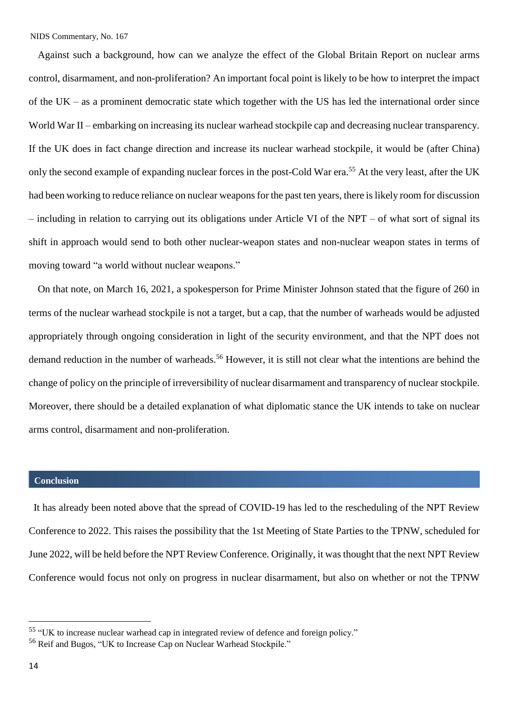Against such a background, how can we analyze the effect of the Global Britain Report on nuclear arms control, disarmament, and non-proliferation? An important focal point is likely to be how to interpret the impact of the UK – as a prominent democratic state which together with the US has led the international order since World War II – embarking on increasing its nuclear warhead stockpile cap and decreasing nuclear transparency. If the UK does in fact change direction and increase its nuclear warhead stockpile, it would be (after China) only the second example of expanding nuclear forces in the post-Cold War era.<sup>55</sup> At the very least, after the UK had been working to reduce reliance on nuclear weapons for the past ten years, there is likely room for discussion – including in relation to carrying out its obligations under Article VI of the NPT – of what sort of signal its shift in approach would send to both other nuclear-weapon states and non-nuclear weapon states in terms of moving toward "a world without nuclear weapons."

On that note, on March 16, 2021, a spokesperson for Prime Minister Johnson stated that the figure of 260 in terms of the nuclear warhead stockpile is not a target, but a cap, that the number of warheads would be adjusted appropriately through ongoing consideration in light of the security environment, and that the NPT does not demand reduction in the number of warheads.<sup>56</sup> However, it is still not clear what the intentions are behind the change of policy on the principle of irreversibility of nuclear disarmament and transparency of nuclear stockpile. Moreover, there should be a detailed explanation of what diplomatic stance the UK intends to take on nuclear arms control, disarmament and non-proliferation.

### **Conclusion**

It has already been noted above that the spread of COVID-19 has led to the rescheduling of the NPT Review Conference to 2022. This raises the possibility that the 1st Meeting of State Parties to the TPNW, scheduled for June 2022, will be held before the NPT Review Conference. Originally, it wasthought that the next NPT Review Conference would focus not only on progress in nuclear disarmament, but also on whether or not the TPNW

i.

<sup>55</sup> "UK to increase nuclear warhead cap in integrated review of defence and foreign policy."

<sup>56</sup> Reif and Bugos, "UK to Increase Cap on Nuclear Warhead Stockpile."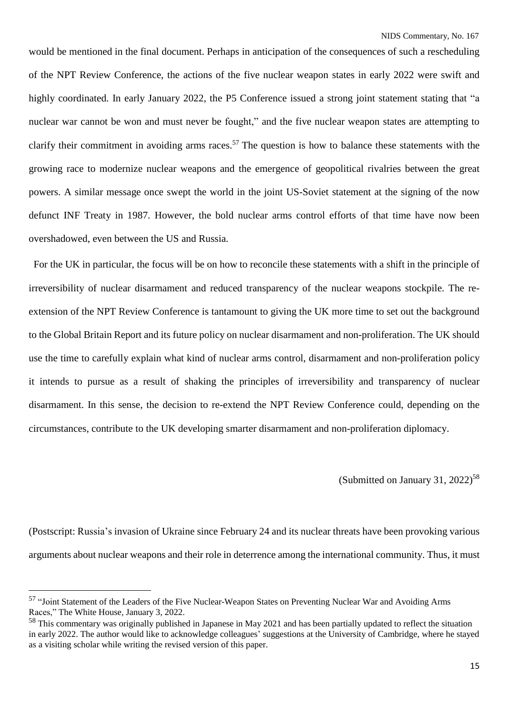would be mentioned in the final document. Perhaps in anticipation of the consequences of such a rescheduling of the NPT Review Conference, the actions of the five nuclear weapon states in early 2022 were swift and highly coordinated. In early January 2022, the P5 Conference issued a strong joint statement stating that "a nuclear war cannot be won and must never be fought," and the five nuclear weapon states are attempting to clarify their commitment in avoiding arms races.<sup>57</sup> The question is how to balance these statements with the growing race to modernize nuclear weapons and the emergence of geopolitical rivalries between the great powers. A similar message once swept the world in the joint US-Soviet statement at the signing of the now defunct INF Treaty in 1987. However, the bold nuclear arms control efforts of that time have now been overshadowed, even between the US and Russia.

For the UK in particular, the focus will be on how to reconcile these statements with a shift in the principle of irreversibility of nuclear disarmament and reduced transparency of the nuclear weapons stockpile. The reextension of the NPT Review Conference is tantamount to giving the UK more time to set out the background to the Global Britain Report and its future policy on nuclear disarmament and non-proliferation. The UK should use the time to carefully explain what kind of nuclear arms control, disarmament and non-proliferation policy it intends to pursue as a result of shaking the principles of irreversibility and transparency of nuclear disarmament. In this sense, the decision to re-extend the NPT Review Conference could, depending on the circumstances, contribute to the UK developing smarter disarmament and non-proliferation diplomacy.

(Submitted on January 31, 2022)<sup>58</sup>

(Postscript: Russia's invasion of Ukraine since February 24 and its nuclear threats have been provoking various arguments about nuclear weapons and their role in deterrence among the international community. Thus, it must

<sup>&</sup>lt;sup>57</sup> "Joint Statement of the Leaders of the Five Nuclear-Weapon States on Preventing Nuclear War and Avoiding Arms Races," The White House, January 3, 2022.

<sup>&</sup>lt;sup>58</sup> This commentary was originally published in Japanese in May 2021 and has been partially updated to reflect the situation in early 2022. The author would like to acknowledge colleagues' suggestions at the University of Cambridge, where he stayed as a visiting scholar while writing the revised version of this paper.